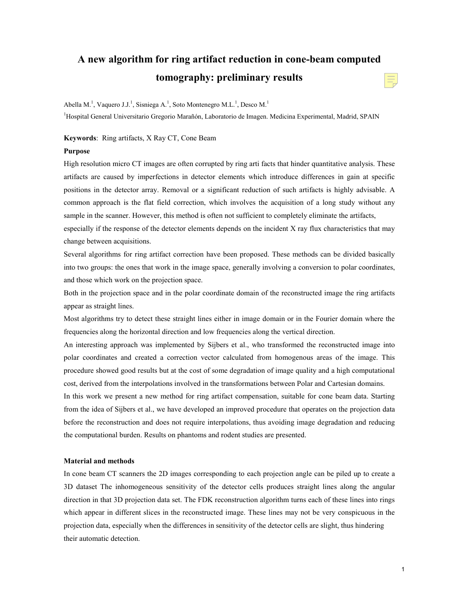# **A new algorithm for ring artifact reduction in cone-beam computed tomography: preliminary results**

Abella M.<sup>1</sup>, Vaquero J.J.<sup>1</sup>, Sisniega A.<sup>1</sup>, Soto Montenegro M.L.<sup>1</sup>, Desco M.<sup>1</sup>

<sup>1</sup>Hospital General Universitario Gregorio Marañón, Laboratorio de Imagen. Medicina Experimental, Madrid, SPAIN

#### **Keywords**: Ring artifacts, X Ray CT, Cone Beam

#### **Purpose**

High resolution micro CT images are often corrupted by ring arti facts that hinder quantitative analysis. These artifacts are caused by imperfections in detector elements which introduce differences in gain at specific positions in the detector array. Removal or a significant reduction of such artifacts is highly advisable. A common approach is the flat field correction, which involves the acquisition of a long study without any sample in the scanner. However, this method is often not sufficient to completely eliminate the artifacts,

especially if the response of the detector elements depends on the incident X ray flux characteristics that may change between acquisitions.

Several algorithms for ring artifact correction have been proposed. These methods can be divided basically into two groups: the ones that work in the image space, generally involving a conversion to polar coordinates, and those which work on the projection space.

Both in the projection space and in the polar coordinate domain of the reconstructed image the ring artifacts appear as straight lines.

Most algorithms try to detect these straight lines either in image domain or in the Fourier domain where the frequencies along the horizontal direction and low frequencies along the vertical direction.

An interesting approach was implemented by Sijbers et al., who transformed the reconstructed image into polar coordinates and created a correction vector calculated from homogenous areas of the image. This procedure showed good results but at the cost of some degradation of image quality and a high computational cost, derived from the interpolations involved in the transformations between Polar and Cartesian domains.

In this work we present a new method for ring artifact compensation, suitable for cone beam data. Starting from the idea of Sijbers et al., we have developed an improved procedure that operates on the projection data before the reconstruction and does not require interpolations, thus avoiding image degradation and reducing the computational burden. Results on phantoms and rodent studies are presented.

## **Material and methods**

In cone beam CT scanners the 2D images corresponding to each projection angle can be piled up to create a 3D dataset The inhomogeneous sensitivity of the detector cells produces straight lines along the angular direction in that 3D projection data set. The FDK reconstruction algorithm turns each of these lines into rings which appear in different slices in the reconstructed image. These lines may not be very conspicuous in the projection data, especially when the differences in sensitivity of the detector cells are slight, thus hindering their automatic detection.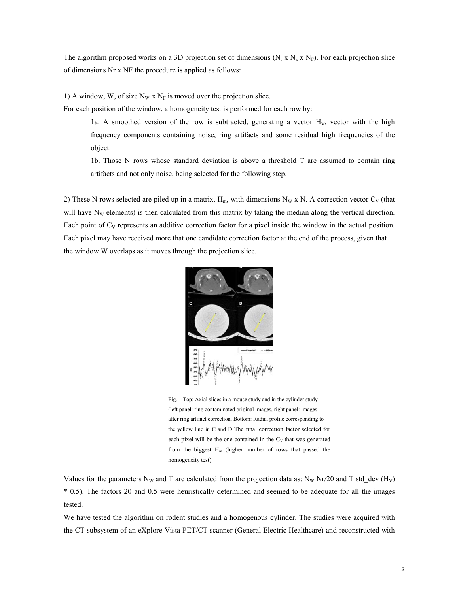The algorithm proposed works on a 3D projection set of dimensions ( $N_r x N_z N_F$ ). For each projection slice of dimensions Nr x NF the procedure is applied as follows:

1) A window, W, of size  $N_W$  x  $N_F$  is moved over the projection slice.

For each position of the window, a homogeneity test is performed for each row by:

1a. A smoothed version of the row is subtracted, generating a vector  $H_V$ , vector with the high frequency components containing noise, ring artifacts and some residual high frequencies of the object.

1b. Those N rows whose standard deviation is above a threshold T are assumed to contain ring artifacts and not only noise, being selected for the following step.

2) These N rows selected are piled up in a matrix,  $H_m$ , with dimensions N<sub>W</sub> x N. A correction vector C<sub>V</sub> (that will have  $N_W$  elements) is then calculated from this matrix by taking the median along the vertical direction. Each point of  $C_V$  represents an additive correction factor for a pixel inside the window in the actual position. Each pixel may have received more that one candidate correction factor at the end of the process, given that the window W overlaps as it moves through the projection slice.



Fig. 1 Top: Axial slices in a mouse study and in the cylinder study (left panel: ring contaminated original images, right panel: images after ring artifact correction. Bottom: Radial profile corresponding to the yellow line in C and D The final correction factor selected for each pixel will be the one contained in the  $C_V$  that was generated from the biggest  $H_m$  (higher number of rows that passed the homogeneity test).

Values for the parameters N<sub>W</sub> and T are calculated from the projection data as: N<sub>W</sub> Nr/20 and T std\_dev (H<sub>V</sub>) \* 0.5). The factors 20 and 0.5 were heuristically determined and seemed to be adequate for all the images tested.

We have tested the algorithm on rodent studies and a homogenous cylinder. The studies were acquired with the CT subsystem of an eXplore Vista PET/CT scanner (General Electric Healthcare) and reconstructed with